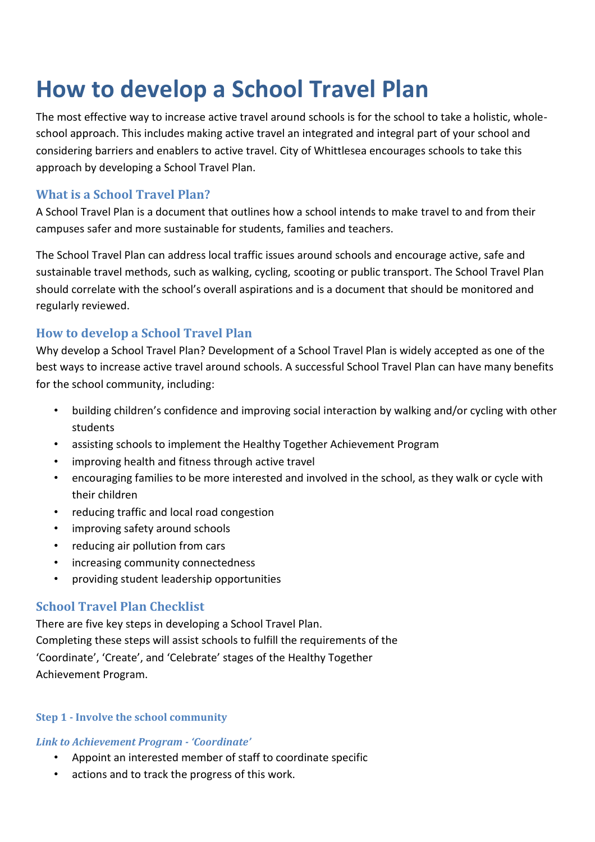# **How to develop a School Travel Plan**

The most effective way to increase active travel around schools is for the school to take a holistic, wholeschool approach. This includes making active travel an integrated and integral part of your school and considering barriers and enablers to active travel. City of Whittlesea encourages schools to take this approach by developing a School Travel Plan.

# **What is a School Travel Plan?**

A School Travel Plan is a document that outlines how a school intends to make travel to and from their campuses safer and more sustainable for students, families and teachers.

The School Travel Plan can address local traffic issues around schools and encourage active, safe and sustainable travel methods, such as walking, cycling, scooting or public transport. The School Travel Plan should correlate with the school's overall aspirations and is a document that should be monitored and regularly reviewed.

# **How to develop a School Travel Plan**

Why develop a School Travel Plan? Development of a School Travel Plan is widely accepted as one of the best ways to increase active travel around schools. A successful School Travel Plan can have many benefits for the school community, including:

- building children's confidence and improving social interaction by walking and/or cycling with other students
- assisting schools to implement the Healthy Together Achievement Program
- improving health and fitness through active travel
- encouraging families to be more interested and involved in the school, as they walk or cycle with their children
- reducing traffic and local road congestion
- improving safety around schools
- reducing air pollution from cars
- increasing community connectedness
- providing student leadership opportunities

# **School Travel Plan Checklist**

There are five key steps in developing a School Travel Plan. Completing these steps will assist schools to fulfill the requirements of the 'Coordinate', 'Create', and 'Celebrate' stages of the Healthy Together Achievement Program.

## **Step 1 - Involve the school community**

## *Link to Achievement Program - 'Coordinate'*

- Appoint an interested member of staff to coordinate specific
- actions and to track the progress of this work.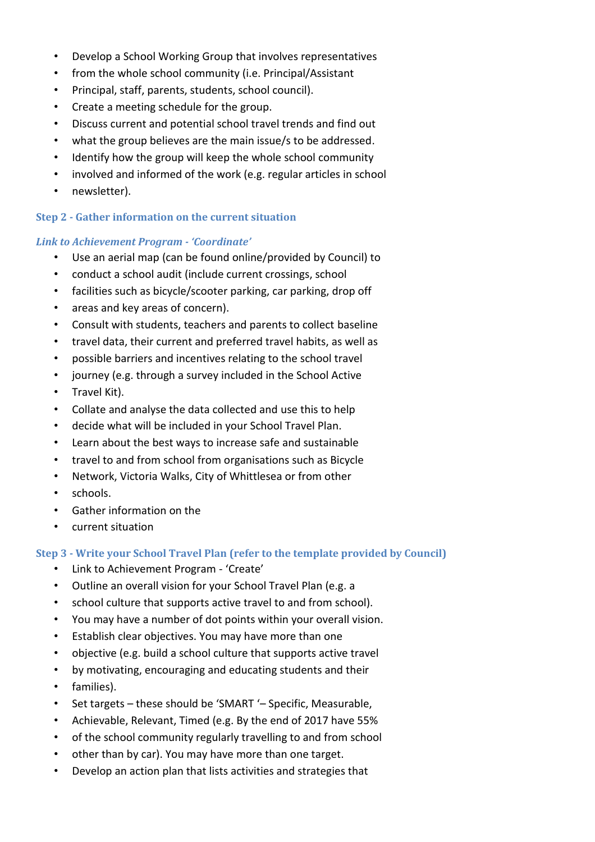- Develop a School Working Group that involves representatives
- from the whole school community (i.e. Principal/Assistant
- Principal, staff, parents, students, school council).
- Create a meeting schedule for the group.
- Discuss current and potential school travel trends and find out
- what the group believes are the main issue/s to be addressed.
- Identify how the group will keep the whole school community
- involved and informed of the work (e.g. regular articles in school
- newsletter).

## **Step 2 - Gather information on the current situation**

## *Link to Achievement Program - 'Coordinate'*

- Use an aerial map (can be found online/provided by Council) to
- conduct a school audit (include current crossings, school
- facilities such as bicycle/scooter parking, car parking, drop off
- areas and key areas of concern).
- Consult with students, teachers and parents to collect baseline
- travel data, their current and preferred travel habits, as well as
- possible barriers and incentives relating to the school travel
- journey (e.g. through a survey included in the School Active
- Travel Kit).
- Collate and analyse the data collected and use this to help
- decide what will be included in your School Travel Plan.
- Learn about the best ways to increase safe and sustainable
- travel to and from school from organisations such as Bicycle
- Network, Victoria Walks, City of Whittlesea or from other
- schools.
- Gather information on the
- current situation

## **Step 3 - Write your School Travel Plan (refer to the template provided by Council)**

- Link to Achievement Program 'Create'
- Outline an overall vision for your School Travel Plan (e.g. a
- school culture that supports active travel to and from school).
- You may have a number of dot points within your overall vision.
- Establish clear objectives. You may have more than one
- objective (e.g. build a school culture that supports active travel
- by motivating, encouraging and educating students and their
- families).
- Set targets these should be 'SMART '– Specific, Measurable,
- Achievable, Relevant, Timed (e.g. By the end of 2017 have 55%
- of the school community regularly travelling to and from school
- other than by car). You may have more than one target.
- Develop an action plan that lists activities and strategies that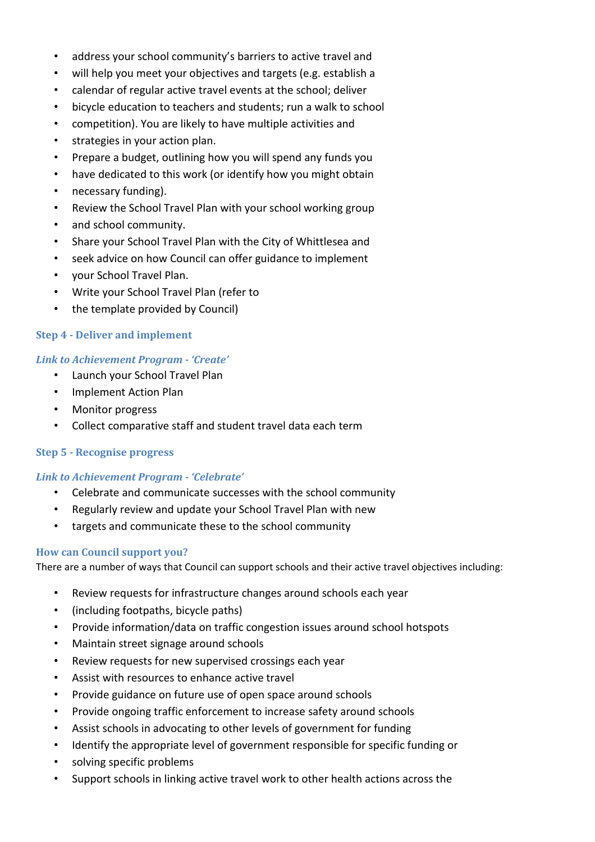- address your school community's barriers to active travel and
- will help you meet your objectives and targets (e.g. establish a
- calendar of regular active travel events at the school; deliver
- bicycle education to teachers and students; run a walk to school
- competition). You are likely to have multiple activities and
- strategies in your action plan.
- Prepare a budget, outlining how you will spend any funds you
- have dedicated to this work (or identify how you might obtain
- necessary funding).
- Review the School Travel Plan with your school working group
- and school community.
- Share your School Travel Plan with the City of Whittlesea and
- seek advice on how Council can offer guidance to implement
- your School Travel Plan.
- Write your School Travel Plan (refer to
- the template provided by Council)

#### **Step 4 - Deliver and implement**

#### *Link to Achievement Program - 'Create'*

- Launch your School Travel Plan
- Implement Action Plan
- Monitor progress
- Collect comparative staff and student travel data each term

#### **Step 5 - Recognise progress**

#### *Link to Achievement Program - 'Celebrate'*

- Celebrate and communicate successes with the school community
- Regularly review and update your School Travel Plan with new
- targets and communicate these to the school community

#### **How can Council support you?**

There are a number of ways that Council can support schools and their active travel objectives including:

- Review requests for infrastructure changes around schools each year
- (including footpaths, bicycle paths)
- Provide information/data on traffic congestion issues around school hotspots
- Maintain street signage around schools
- Review requests for new supervised crossings each year
- Assist with resources to enhance active travel
- Provide guidance on future use of open space around schools
- Provide ongoing traffic enforcement to increase safety around schools
- Assist schools in advocating to other levels of government for funding
- Identify the appropriate level of government responsible for specific funding or
- solving specific problems
- Support schools in linking active travel work to other health actions across the